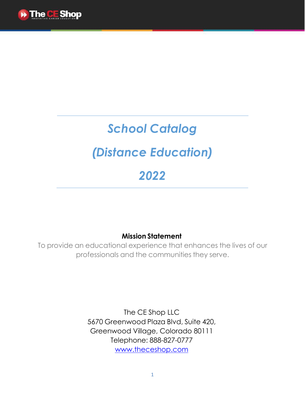

# *School Catalog*

# *(Distance Education)*

# *2022*

# **Mission Statement**

To provide an educational experience that enhances the lives of our professionals and the communities they serve.

> The CE Shop LLC 5670 Greenwood Plaza Blvd, Suite 420, Greenwood Village, Colorado 80111 Telephone: 888-827-0777 [www.theceshop.com](http://www.theceshop.com/)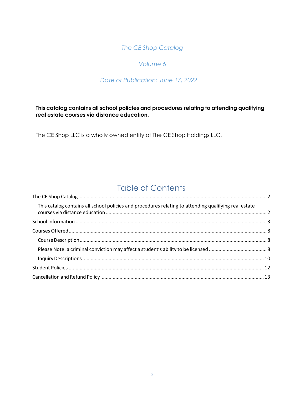# *The CE Shop Catalog*

## *Volume 6*

### *Date of Publication: June 17, 2022*

### <span id="page-1-1"></span><span id="page-1-0"></span>**This catalog contains all school policies and procedures relating to attending qualifying real estate courses via distance education.**

The CE Shop LLC is a wholly owned entity of The CE Shop Holdings LLC.

# Table of Contents

| This catalog contains all school policies and procedures relating to attending qualifying real estate |  |
|-------------------------------------------------------------------------------------------------------|--|
|                                                                                                       |  |
|                                                                                                       |  |
|                                                                                                       |  |
|                                                                                                       |  |
|                                                                                                       |  |
|                                                                                                       |  |
|                                                                                                       |  |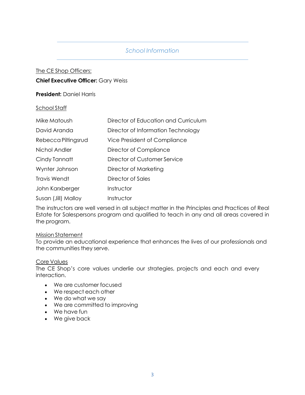## *School Information*

# <span id="page-2-0"></span>The CE Shop Officers:

**Chief Executive Officer:** Gary Weiss

### **President:** Daniel Harris

### School Staff

| Mike Matoush        | Director of Education and Curriculum |
|---------------------|--------------------------------------|
| David Aranda        | Director of Information Technology   |
| Rebecca Piltingsrud | Vice President of Compliance         |
| Nichol Andler       | Director of Compliance               |
| Cindy Tannatt       | Director of Customer Service         |
| Wynter Johnson      | Director of Marketing                |
| <b>Travis Wendt</b> | Director of Sales                    |
| John Karxberger     | Instructor                           |
| Susan (Jill) Malloy | Instructor                           |

The instructors are well versed in all subject matter in the Principles and Practices of Real Estate for Salespersons program and qualified to teach in any and all areas covered in the program.

### Mission Statement

To provide an educational experience that enhances the lives of our professionals and the communities they serve.

### Core Values

The CE Shop's core values underlie our strategies, projects and each and every interaction.

- We are customer focused
- We respect each other
- We do what we say
- We are committed to improving
- We have fun
- We give back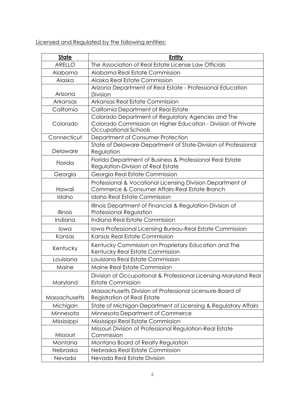Licensed and Regulated by the following entities:

| <b>State</b>  | <b>Entity</b>                                                                                                                               |
|---------------|---------------------------------------------------------------------------------------------------------------------------------------------|
| <b>ARELLO</b> | The Association of Real Estate License Law Officials                                                                                        |
| Alabama       | Alabama Real Estate Commission                                                                                                              |
| Alaska        | Alaska Real Estate Commission                                                                                                               |
|               | Arizona Department of Real Estate - Professional Education                                                                                  |
| Arizona       | Division                                                                                                                                    |
| Arkansas      | Arkansas Real Estate Commission                                                                                                             |
| California    | California Department of Real Estate                                                                                                        |
| Colorado      | Colorado Department of Regulatory Agencies and The<br>Colorado Commission on Higher Education - Division of Private<br>Occupational Schools |
| Connecticut   | Department of Consumer Protection                                                                                                           |
| Delaware      | State of Delaware-Department of State-Division of Professional<br>Regulation                                                                |
| Florida       | Florida Department of Business & Professional Real Estate<br><b>Regulation-Division of Real Estate</b>                                      |
| Georgia       | Georgia Real Estate Commission                                                                                                              |
| Hawaii        | Professional & Vocational Licensing Division Department of<br>Commerce & Consumer Affairs-Real Estate Branch                                |
| Idaho         | <b>Idaho Real Estate Commission</b>                                                                                                         |
| Illinois      | Illinois Department of Financial & Regulation-Division of<br><b>Professional Regulation</b>                                                 |
| Indiana       | Indiana Real Estate Commission                                                                                                              |
| lowa          | Iowa Professional Licensing Bureau-Real Estate Commission                                                                                   |
| Kansas        | Kansas Real Estate Commission                                                                                                               |
| Kentucky      | Kentucky Commission on Proprietary Education and The<br>Kentucky Real Estate Commission                                                     |
| Louisiana     | Louisiana Real Estate Commission                                                                                                            |
| Maine         | Maine Real Estate Commission                                                                                                                |
| Maryland      | Division of Occupational & Professional Licensing-Maryland Real<br><b>Estate Commission</b>                                                 |
| Massachusetts | Massachusetts Division of Professional Licensure-Board of<br><b>Registration of Real Estate</b>                                             |
| Michigan      | State of Michigan-Department of Licensing & Regulatory Affairs                                                                              |
| Minnesota     | Minnesota Department of Commerce                                                                                                            |
| Mississippi   | Mississippi Real Estate Commission                                                                                                          |
| Missouri      | Missouri Division of Professional Regulation-Real Estate<br>Commission                                                                      |
| Montana       | Montana Board of Realty Regulation                                                                                                          |
| Nebraska      | Nebraska Real Estate Commission                                                                                                             |
| Nevada        | Nevada Real Estate Division                                                                                                                 |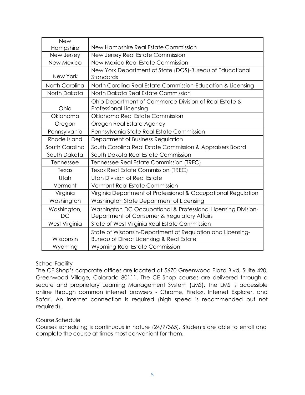| <b>New</b>     |                                                                                        |
|----------------|----------------------------------------------------------------------------------------|
| Hampshire      | New Hampshire Real Estate Commission                                                   |
| New Jersey     | New Jersey Real Estate Commission                                                      |
| New Mexico     | New Mexico Real Estate Commission                                                      |
|                | New York Department of State (DOS)-Bureau of Educational                               |
| New York       | Standards                                                                              |
| North Carolina | North Carolina Real Estate Commission-Education & Licensing                            |
| North Dakota   | North Dakota Real Estate Commission                                                    |
| Ohio           | Ohio Department of Commerce-Division of Real Estate &<br><b>Professional Licensing</b> |
| Oklahoma       | Oklahoma Real Estate Commission                                                        |
| Oregon         | Oregon Real Estate Agency                                                              |
| Pennsylvania   | Pennsylvania State Real Estate Commission                                              |
| Rhode Island   | Department of Business Regulation                                                      |
| South Carolina | South Carolina Real Estate Commission & Appraisers Board                               |
| South Dakota   | South Dakota Real Estate Commission                                                    |
| Tennessee      | Tennessee Real Estate Commission (TREC)                                                |
| Texas          | Texas Real Estate Commission (TREC)                                                    |
| Utah           | Utah Division of Real Estate                                                           |
| Vermont        | <b>Vermont Real Estate Commission</b>                                                  |
| Virginia       | Virginia Department of Professional & Occupational Regulation                          |
| Washington     | Washington State Department of Licensing                                               |
| Washington,    | Washington DC Occupational & Professional Licensing Division-                          |
| DC             | Department of Consumer & Regulatory Affairs                                            |
| West Virginia  | State of West Virginia Real Estate Commission                                          |
|                | State of Wisconsin-Department of Regulation and Licensing-                             |
| Wisconsin      | Bureau of Direct Licensing & Real Estate                                               |
| Wyoming        | Wyoming Real Estate Commission                                                         |

### School Facility

The CE Shop's corporate offices are located at 5670 Greenwood Plaza Blvd, Suite 420, Greenwood Village, Colorado 80111. The CE Shop courses are delivered through a secure and proprietary Learning Management System (LMS). The LMS is accessible online through common internet browsers - Chrome, Firefox, Internet Explorer, and Safari. An internet connection is required (high speed is recommended but not required).

### Course Schedule

Courses scheduling is continuous in nature (24/7/365). Students are able to enroll and complete the course at times most convenient for them.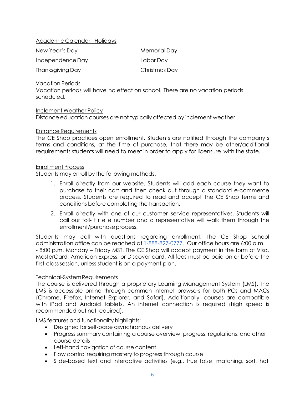### Academic Calendar - Holidays

| New Year's Day   | Memorial Day  |
|------------------|---------------|
| Independence Day | Labor Day     |
| Thanksgiving Day | Christmas Day |

### Vacation Periods

Vacation periods will have no effect on school. There are no vacation periods scheduled.

### Inclement Weather Policy

Distance education courses are not typically affected by inclement weather.

### Entrance Requirements

The CE Shop practices open enrollment. Students are notified through the company's terms and conditions, at the time of purchase, that there may be other/additional requirements students will need to meet in order to apply for licensure with the state.

### Enrollment Process

Students may enroll by the following methods:

- 1. Enroll directly from our website. Students will add each course they want to purchase to their cart and then check out through a standard e-commerce process. Students are required to read and accept The CE Shop terms and conditions before completing the transaction.
- 2. Enroll directly with one of our customer service representatives. Students will call our toll- f r e e number and a representative will walk them through the enrollment/purchaseprocess.

Students may call with questions regarding enrollment. The CE Shop school administration office can be reached at 1-888-827-0777. Our office hours are 6:00 a.m. - 8:00 p.m. Monday – Friday MST. The CE Shop will accept payment in the form of Visa, MasterCard, American Express, or Discover card. All fees must be paid on or before the first-class session, unless student is on a payment plan.

### Technical-SystemRequirements

The course is delivered through a proprietary Learning Management System (LMS). The LMS is accessible online through common internet browsers for both PCs and MACs (Chrome, Firefox, Internet Explorer, and Safari). Additionally, courses are compatible with iPad and Android tablets. An internet connection is required (high speed is recommended but not required).

LMS features and functionality highlights:

- Designed for self-pace asynchronous delivery
- Progress summary containing a course overview, progress, regulations, and other course details
- Left-hand navigation of course content
- Flow control requiring mastery to progress through course
- Slide-based text and interactive activities (e.g., true false, matching, sort, hot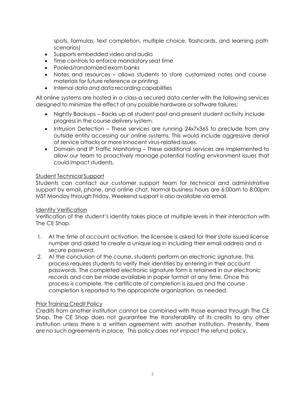spots, formulas, text completion, multiple choice, flashcards, and learning path scenarios)

- Supports embedded video and audio
- Time controls to enforce mandatory seat time
- Pooled/randomized exam banks
- Notes and resources allows students to store customized notes and course materials for future reference or printing
- Internal data and data recording capabilities

All online systems are hosted in a class-a secured data center with the following services designed to minimize the effect of any possible hardware or software failures:

- Nightly Backups Backs up all student past and present student activity include progress in the course delivery system.
- Intrusion Detection These services are running 24x7x365 to preclude from any outside entity accessing our online systems. This would include aggressive denial of service attacks or more innocent virus-related issues.
- Domain and IP Traffic Monitoring These additional services are implemented to allow our team to proactively manage potential hosting environment issues that could impact students.

### Student Technical Support

Students can contact our customer support team for technical and administrative support by email, phone, and online chat. Normal business hours are 6:00am to 8:00pm MST Monday through Friday. Weekend support is also available via email.

#### Identity Verification

Verification of the student's identity takes place at multiple levels in their interaction with The CE Shop.

- 1. At the time of account activation, the licensee is asked for their state issued license number and asked to create a unique log in including their email address and a secure password.
- 2. At the conclusion of the course, students perform an electronic signature. This process requires students to verify their identities by entering in their account passwords. The completed electronic signature form is retained in our electronic records and can be made available in paper format at any time. Once this process is complete, the certificate of completion is issued and the course completion is reported to the appropriate organization, as needed.

### Prior Training Credit Policy

Credits from another institution cannot be combined with those earned through The CE Shop. The CE Shop does not guarantee the transferability of its credits to any other institution unless there is a written agreement with another institution. Presently, there are no such agreements in place. This policy does not impact the refund policy.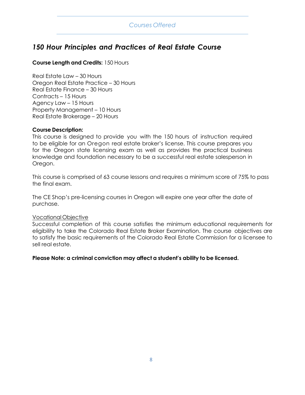### *Courses Offered*

# <span id="page-7-0"></span>*150 Hour Principles and Practices of Real Estate Course*

### **Course Length and Credits:** 150 Hours

Real Estate Law – 30 Hours Oregon Real Estate Practice – 30 Hours Real Estate Finance – 30 Hours Contracts – 15 Hours Agency Law – 15 Hours Property Management – 10 Hours Real Estate Brokerage – 20 Hours

### <span id="page-7-1"></span>**Course Description:**

This course is designed to provide you with the 150 hours of instruction required to be eligible for an Oregon real estate broker's license. This course prepares you for the Oregon state licensing exam as well as provides the practical business knowledge and foundation necessary to be a successful real estate salesperson in Oregon.

This course is comprised of 63 course lessons and requires a minimum score of 75% to pass the final exam.

The CE Shop's pre-licensing courses in Oregon will expire one year after the date of purchase.

#### Vocational Objective

Successful completion of this course satisfies the minimum educational requirements for eligibility to take the Colorado Real Estate Broker Examination. The course objectives are to satisfy the basic requirements of the Colorado Real Estate Commission for a licensee to sell real estate.

### <span id="page-7-2"></span>**Please Note: a criminal conviction may affect a student's ability to be licensed.**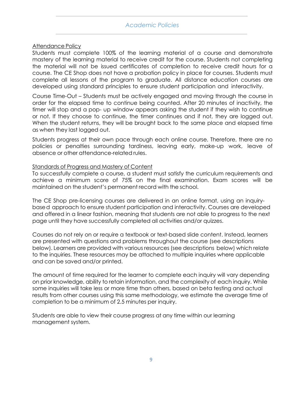### *Academic Policies*

#### Attendance Policy

Students must complete 100% of the learning material of a course and demonstrate mastery of the learning material to receive credit for the course. Students not completing the material will not be issued certificates of completion to receive credit hours for a course. The CE Shop does not have a probation policy in place for courses. Students must complete all lessons of the program to graduate. All distance education courses are developed using standard principles to ensure student participation and interactivity.

Course Time-Out – Students must be actively engaged and moving through the course in order for the elapsed time to continue being counted. After 20 minutes of inactivity, the timer will stop and a pop- up window appears asking the student if they wish to continue or not. If they choose to continue, the timer continues and if not, they are logged out. When the student returns, they will be brought back to the same place and elapsed time as when they last logged out.

Students progress at their own pace through each online course. Therefore, there are no policies or penalties surrounding tardiness, leaving early, make-up work, leave of absence or other attendance-related rules.

#### Standards of Progress and Mastery of Content

To successfully complete a course, a student must satisfy the curriculum requirements and achieve a minimum score of 75% on the final examination. Exam scores will be maintained on the student's permanent record with the school.

The CE Shop pre-licensing courses are delivered in an online format, using an inquirybase d approach to ensure student participation and interactivity. Courses are developed and offered in a linear fashion, meaning that students are not able to progress to the next page until they have successfully completed all activities and/or quizzes.

Courses do not rely on or require a textbook or text-based slide content. Instead, learners are presented with questions and problems throughout the course (see descriptions below). Learners are provided with various resources (see descriptions below) which relate to the inquiries. These resources may be attached to multiple inquiries where applicable and can be saved and/or printed.

The amount of time required for the learner to complete each inquiry will vary depending on prior knowledge, ability to retain information, and the complexity of each inquiry. While some inquiries will take less or more time than others, based on beta testing and actual results from other courses using this same methodology, we estimate the average time of completion to be a minimum of 2.5 minutes per inquiry.

Students are able to view their course progress at any time within our learning management system.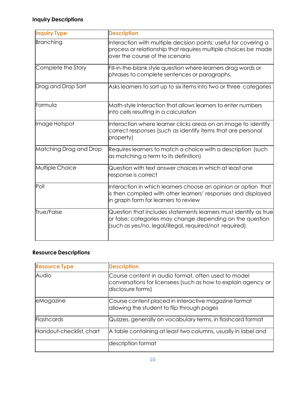# <span id="page-9-0"></span>**Inquiry Descriptions**

| <b>Inquiry Type</b>    | <b>Description</b>                                                                                                                                                                      |
|------------------------|-----------------------------------------------------------------------------------------------------------------------------------------------------------------------------------------|
| Branching              | Interaction with multiple decision points; useful for covering a<br>process or relationship that requires multiple choices be made<br>over the course of the scenario                   |
| Complete the Story     | Fill-in-the-blank style question where learners drag words or<br>phrases to complete sentences or paragraphs.                                                                           |
| Drag and Drop Sort     | Asks learners to sort up to six items into two or three categories                                                                                                                      |
| Formula                | Math-style interaction that allows learners to enter numbers<br>into cells resulting in a calculation                                                                                   |
| Image Hotspot          | Interaction where learner clicks areas on an image to identify<br>correct responses (such as identify items that are personal<br>property)                                              |
| Matching Drag and Drop | Requires learners to match a choice with a description (such<br>as matching a term to its definition)                                                                                   |
| Multiple Choice        | Question with text answer choices in which at least one<br>response is correct                                                                                                          |
| Poll                   | Interaction in which learners choose an opinion or option that<br>is then compiled with other learners' responses and displayed<br>in graph form for learners to review                 |
| True/False             | Question that includes statements learners must identify as true<br>or false; categories may change depending on the question<br>(such as yes/no, legal/illegal, required/not required) |

## **Resource Descriptions**

| <b>Resource Type</b>     | <b>Description</b>                                                                                                                        |
|--------------------------|-------------------------------------------------------------------------------------------------------------------------------------------|
| Audio                    | Course content in audio format, often used to model<br>conversations for licensees (such as how to explain agency or<br>disclosure forms) |
| eMagazine                | Course content placed in interactive magazine format<br>allowing the student to flip through pages                                        |
| Flashcards               | Quizzes, generally on vocabulary terms, in flashcard format                                                                               |
| Handout-checklist, chart | A table containing at least two columns, usually in label and                                                                             |
|                          | description format                                                                                                                        |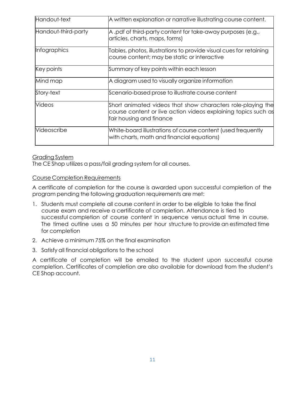| Handout-text        | A written explanation or narrative illustrating course content.                                                                                           |
|---------------------|-----------------------------------------------------------------------------------------------------------------------------------------------------------|
| Handout-third-party | A .pdf of third-party content for take-away purposes (e.g.,<br>articles, charts, maps, forms)                                                             |
| Infographics        | Tables, photos, illustrations to provide visual cues for retaining<br>course content; may be static or interactive                                        |
| Key points          | Summary of key points within each lesson                                                                                                                  |
| Mind map            | A diagram used to visually organize information                                                                                                           |
| Story-text          | Scenario-based prose to illustrate course content                                                                                                         |
| Videos              | Short animated videos that show characters role-playing the<br>course content or live action videos explaining topics such as<br>fair housing and finance |
| Videoscribe         | White-board illustrations of course content (used frequently<br>with charts, math and financial equations)                                                |

### Grading System

The CE Shop utilizes a pass/fail grading system for all courses.

### Course Completion Requirements

A certificate of completion for the course is awarded upon successful completion of the program pending the following graduation requirements are met:

- 1. Students must complete all course content in order to be eligible to take the final course exam and receive a certificate of completion. Attendance is tied to successful completion of course content in sequence versus actual time in course. The timed outline uses a 50 minutes per hour structure to provide an estimated time for completion
- 2. Achieve a minimum 75% on the final examination
- 3. Satisfy all financial obligations to the school

A certificate of completion will be emailed to the student upon successful course completion. Certificates of completion are also available for download from the student's CE Shop account.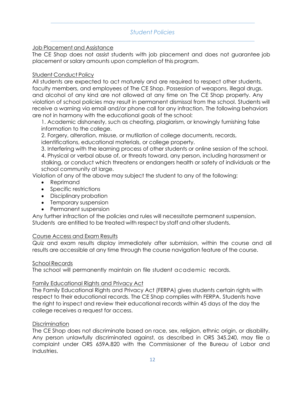### *Student Policies*

### <span id="page-11-0"></span>Job Placement and Assistance

The CE Shop does not assist students with job placement and does not guarantee job placement or salary amounts upon completion of this program.

### Student Conduct Policy

All students are expected to act maturely and are required to respect other students, faculty members, and employees of The CE Shop. Possession of weapons, illegal drugs, and alcohol of any kind are not allowed at any time on The CE Shop property. Any violation of school policies may result in permanent dismissal from the school. Students will receive a warning via email and/or phone call for any infraction. The following behaviors are not in harmony with the educational goals of the school:

1. Academic dishonesty, such as cheating, plagiarism, or knowingly furnishing false information to the college.

2. Forgery, alteration, misuse, or mutilation of college documents, records, identifications, educational materials, or college property.

3. Interfering with the learning process of other students or online session of the school. 4. Physical or verbal abuse of, or threats toward, any person, including harassment or stalking, or conduct which threatens or endangers health or safety of individuals or the school community at large.

Violation of any of the above may subject the student to any of the following:

- Reprimand
- Specific restrictions
- Disciplinary probation
- Temporary suspension
- Permanent suspension

Any further infraction of the policies and rules will necessitate permanent suspension. Students are entitled to be treated with respect by staff and other students.

### Course Access and Exam Results

Quiz and exam results display immediately after submission, within the course and all results are accessible at any time through the course navigation feature of the course.

### School Records

The school will permanently maintain on file student academic records.

### Family Educational Rights and Privacy Act

The Family Educational Rights and Privacy Act (FERPA) gives students certain rights with respect to their educational records. The CE Shop complies with FERPA. Students have the right to inspect and review their educational records within 45 days of the day the college receives a request for access.

### **Discrimination**

The CE Shop does not discriminate based on race, sex, religion, ethnic origin, or disability. Any person unlawfully discriminated against, as described in ORS 345.240, may file a complaint under ORS 659A.820 with the Commissioner of the Bureau of Labor and Industries.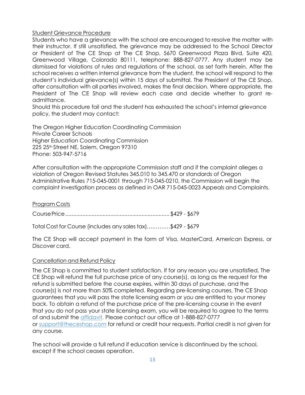### Student Grievance Procedure

Students who have a grievance with the school are encouraged to resolve the matter with their instructor. If still unsatisfied, the grievance may be addressed to the School Director or President of The CE Shop at The CE Shop, 5670 Greenwood Plaza Blvd, Suite 420, Greenwood Village, Colorado 80111, telephone: 888-827-0777. Any student may be dismissed for violations of rules and regulations of the school, as set forth herein. After the school receives a written internal grievance from the student, the school will respond to the student's individual grievance(s) within 15 days of submittal. The President of The CE Shop, after consultation with all parties involved, makes the final decision. Where appropriate, the President of The CE Shop will review each case and decide whether to grant readmittance.

Should this procedure fail and the student has exhausted the school's internal grievance policy, the student may contact:

The Oregon Higher Education Coordinating Commission Private Career Schools Higher Education Coordinating Commission 225 25th Street NE, Salem, Oregon 97310 Phone: 503-947-5716

After consultation with the appropriate Commission staff and if the complaint alleges a violation of Oregon Revised Statutes 345.010 to 345.470 or standards of Oregon Administrative Rules 715-045-0001 through 715-045-0210, the Commission will begin the complaint investigation process as defined in OAR 715-045-0023 Appeals and Complaints.

Program Costs

CoursePrice................................................................... \$429 - \$679

Total Cost for Course (includes any sales tax)….………\$429 - \$679

The CE Shop will accept payment in the form of Visa, MasterCard, American Express, or Discover card.

### <span id="page-12-0"></span>Cancellation and Refund Policy

The CE Shop is committed to student satisfaction. If for any reason you are unsatisfied, The CE Shop will refund the full purchase price of any course(s), as long as the request for the refund is submitted before the course expires, within 30 days of purchase, and the course(s) is not more than 50% completed. Regarding pre-licensing courses, The CE Shop guarantees that you will pass the state licensing exam or you are entitled to your money back. To obtain a refund of the purchase price of the pre-licensing course in the event that you do not pass your state licensing exam, you will be required to agree to the terms of and submit the [affidavit.](http://image.theceshop.com/file/Money_Back.pdf) Please contact our office at 1-888-827-0777 or [support@theceshop.com](mailto:support@theceshop.com) for refund or credit hour requests. Partial credit is not given for any course.

The school will provide a full refund if education service is discontinued by the school, except if the school ceases operation.